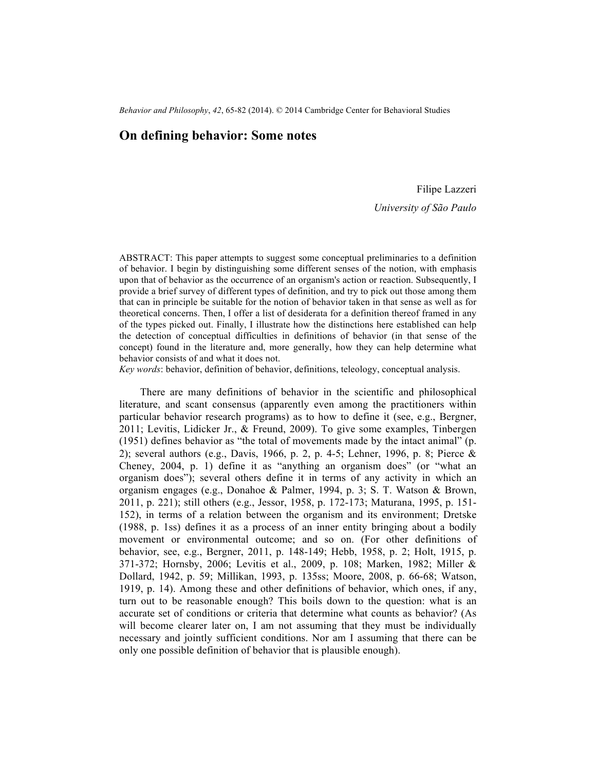*Behavior and Philosophy*, *42*, 65-82 (2014). © 2014 Cambridge Center for Behavioral Studies

# **On defining behavior: Some notes**

Filipe Lazzeri

*University of São Paulo*

ABSTRACT: This paper attempts to suggest some conceptual preliminaries to a definition of behavior. I begin by distinguishing some different senses of the notion, with emphasis upon that of behavior as the occurrence of an organism's action or reaction. Subsequently, I provide a brief survey of different types of definition, and try to pick out those among them that can in principle be suitable for the notion of behavior taken in that sense as well as for theoretical concerns. Then, I offer a list of desiderata for a definition thereof framed in any of the types picked out. Finally, I illustrate how the distinctions here established can help the detection of conceptual difficulties in definitions of behavior (in that sense of the concept) found in the literature and, more generally, how they can help determine what behavior consists of and what it does not.

*Key words*: behavior, definition of behavior, definitions, teleology, conceptual analysis.

There are many definitions of behavior in the scientific and philosophical literature, and scant consensus (apparently even among the practitioners within particular behavior research programs) as to how to define it (see, e.g., Bergner, 2011; Levitis, Lidicker Jr., & Freund, 2009). To give some examples, Tinbergen (1951) defines behavior as "the total of movements made by the intact animal" (p. 2); several authors (e.g., Davis, 1966, p. 2, p. 4-5; Lehner, 1996, p. 8; Pierce & Cheney, 2004, p. 1) define it as "anything an organism does" (or "what an organism does"); several others define it in terms of any activity in which an organism engages (e.g., Donahoe & Palmer, 1994, p. 3; S. T. Watson & Brown, 2011, p. 221); still others (e.g., Jessor, 1958, p. 172-173; Maturana, 1995, p. 151- 152), in terms of a relation between the organism and its environment; Dretske (1988, p. 1ss) defines it as a process of an inner entity bringing about a bodily movement or environmental outcome; and so on. (For other definitions of behavior, see, e.g., Bergner, 2011, p. 148-149; Hebb, 1958, p. 2; Holt, 1915, p. 371-372; Hornsby, 2006; Levitis et al., 2009, p. 108; Marken, 1982; Miller & Dollard, 1942, p. 59; Millikan, 1993, p. 135ss; Moore, 2008, p. 66-68; Watson, 1919, p. 14). Among these and other definitions of behavior, which ones, if any, turn out to be reasonable enough? This boils down to the question: what is an accurate set of conditions or criteria that determine what counts as behavior? (As will become clearer later on, I am not assuming that they must be individually necessary and jointly sufficient conditions. Nor am I assuming that there can be only one possible definition of behavior that is plausible enough).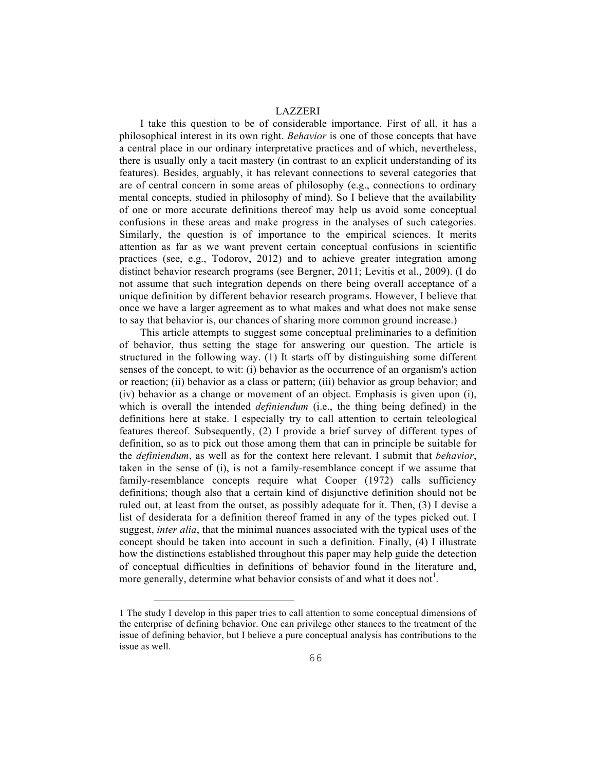I take this question to be of considerable importance. First of all, it has a philosophical interest in its own right. *Behavior* is one of those concepts that have a central place in our ordinary interpretative practices and of which, nevertheless, there is usually only a tacit mastery (in contrast to an explicit understanding of its features). Besides, arguably, it has relevant connections to several categories that are of central concern in some areas of philosophy (e.g., connections to ordinary mental concepts, studied in philosophy of mind). So I believe that the availability of one or more accurate definitions thereof may help us avoid some conceptual confusions in these areas and make progress in the analyses of such categories. Similarly, the question is of importance to the empirical sciences. It merits attention as far as we want prevent certain conceptual confusions in scientific practices (see, e.g., Todorov, 2012) and to achieve greater integration among distinct behavior research programs (see Bergner, 2011; Levitis et al., 2009). (I do not assume that such integration depends on there being overall acceptance of a unique definition by different behavior research programs. However, I believe that once we have a larger agreement as to what makes and what does not make sense to say that behavior is, our chances of sharing more common ground increase.)

This article attempts to suggest some conceptual preliminaries to a definition of behavior, thus setting the stage for answering our question. The article is structured in the following way. (1) It starts off by distinguishing some different senses of the concept, to wit: (i) behavior as the occurrence of an organism's action or reaction; (ii) behavior as a class or pattern; (iii) behavior as group behavior; and (iv) behavior as a change or movement of an object. Emphasis is given upon (i), which is overall the intended *definiendum* (i.e., the thing being defined) in the definitions here at stake. I especially try to call attention to certain teleological features thereof. Subsequently, (2) I provide a brief survey of different types of definition, so as to pick out those among them that can in principle be suitable for the *definiendum*, as well as for the context here relevant. I submit that *behavior*, taken in the sense of (i), is not a family-resemblance concept if we assume that family-resemblance concepts require what Cooper (1972) calls sufficiency definitions; though also that a certain kind of disjunctive definition should not be ruled out, at least from the outset, as possibly adequate for it. Then, (3) I devise a list of desiderata for a definition thereof framed in any of the types picked out. I suggest, *inter alia*, that the minimal nuances associated with the typical uses of the concept should be taken into account in such a definition. Finally, (4) I illustrate how the distinctions established throughout this paper may help guide the detection of conceptual difficulties in definitions of behavior found in the literature and, more generally, determine what behavior consists of and what it does not<sup>1</sup>.

<sup>1</sup> The study I develop in this paper tries to call attention to some conceptual dimensions of the enterprise of defining behavior. One can privilege other stances to the treatment of the issue of defining behavior, but I believe a pure conceptual analysis has contributions to the issue as well.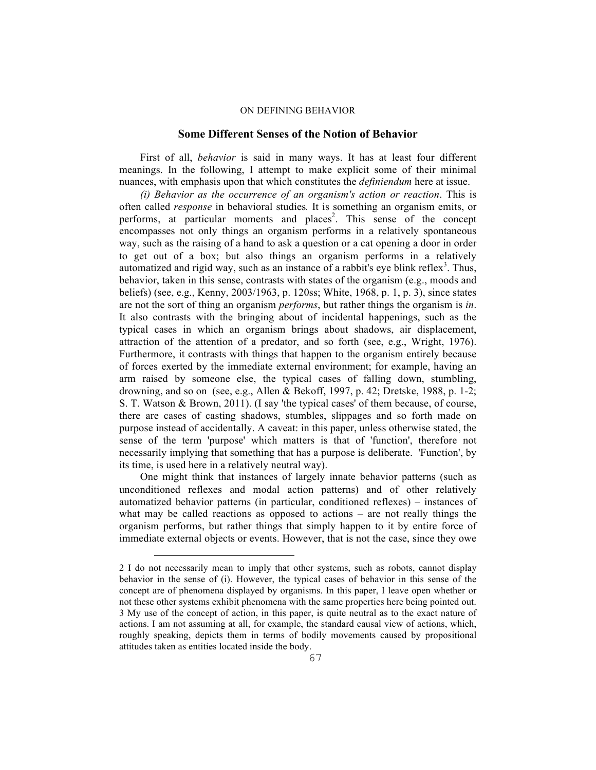### **Some Different Senses of the Notion of Behavior**

First of all, *behavior* is said in many ways. It has at least four different meanings. In the following, I attempt to make explicit some of their minimal nuances, with emphasis upon that which constitutes the *definiendum* here at issue.

*(i) Behavior as the occurrence of an organism's action or reaction*. This is often called *response* in behavioral studies*.* It is something an organism emits, or performs, at particular moments and places<sup>2</sup>. This sense of the concept encompasses not only things an organism performs in a relatively spontaneous way, such as the raising of a hand to ask a question or a cat opening a door in order to get out of a box; but also things an organism performs in a relatively automatized and rigid way, such as an instance of a rabbit's eye blink reflex<sup>3</sup>. Thus, behavior, taken in this sense, contrasts with states of the organism (e.g., moods and beliefs) (see, e.g., Kenny, 2003/1963, p. 120ss; White, 1968, p. 1, p. 3), since states are not the sort of thing an organism *performs*, but rather things the organism is *in*. It also contrasts with the bringing about of incidental happenings, such as the typical cases in which an organism brings about shadows, air displacement, attraction of the attention of a predator, and so forth (see, e.g., Wright, 1976). Furthermore, it contrasts with things that happen to the organism entirely because of forces exerted by the immediate external environment; for example, having an arm raised by someone else, the typical cases of falling down, stumbling, drowning, and so on (see, e.g., Allen & Bekoff, 1997, p. 42; Dretske, 1988, p. 1-2; S. T. Watson & Brown, 2011). (I say 'the typical cases' of them because, of course, there are cases of casting shadows, stumbles, slippages and so forth made on purpose instead of accidentally. A caveat: in this paper, unless otherwise stated, the sense of the term 'purpose' which matters is that of 'function', therefore not necessarily implying that something that has a purpose is deliberate. 'Function', by its time, is used here in a relatively neutral way).

One might think that instances of largely innate behavior patterns (such as unconditioned reflexes and modal action patterns) and of other relatively automatized behavior patterns (in particular, conditioned reflexes) – instances of what may be called reactions as opposed to actions  $-$  are not really things the organism performs, but rather things that simply happen to it by entire force of immediate external objects or events. However, that is not the case, since they owe

<sup>2</sup> I do not necessarily mean to imply that other systems, such as robots, cannot display behavior in the sense of (i). However, the typical cases of behavior in this sense of the concept are of phenomena displayed by organisms. In this paper, I leave open whether or not these other systems exhibit phenomena with the same properties here being pointed out. 3 My use of the concept of action, in this paper, is quite neutral as to the exact nature of actions. I am not assuming at all, for example, the standard causal view of actions, which, roughly speaking, depicts them in terms of bodily movements caused by propositional attitudes taken as entities located inside the body.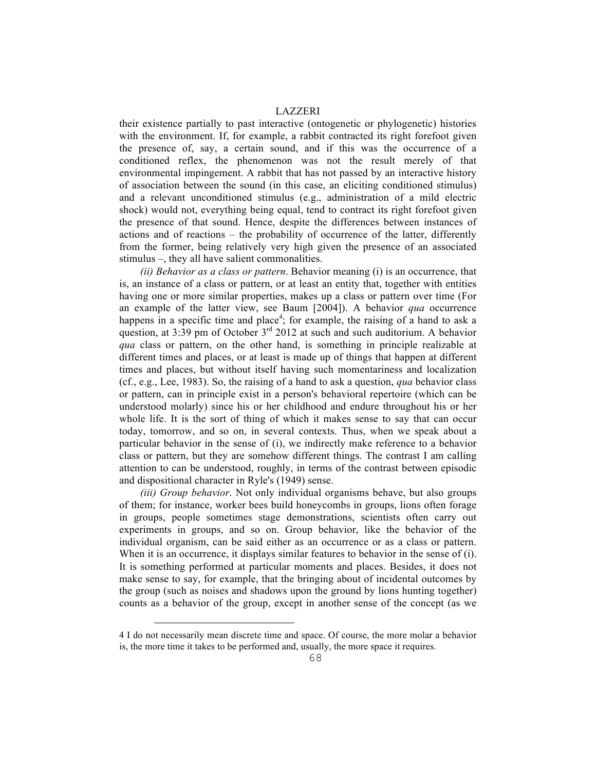their existence partially to past interactive (ontogenetic or phylogenetic) histories with the environment. If, for example, a rabbit contracted its right forefoot given the presence of, say, a certain sound, and if this was the occurrence of a conditioned reflex, the phenomenon was not the result merely of that environmental impingement. A rabbit that has not passed by an interactive history of association between the sound (in this case, an eliciting conditioned stimulus) and a relevant unconditioned stimulus (e.g., administration of a mild electric shock) would not, everything being equal, tend to contract its right forefoot given the presence of that sound. Hence, despite the differences between instances of actions and of reactions – the probability of occurrence of the latter, differently from the former, being relatively very high given the presence of an associated stimulus ‒, they all have salient commonalities.

*(ii) Behavior as a class or pattern*. Behavior meaning (i) is an occurrence, that is, an instance of a class or pattern, or at least an entity that, together with entities having one or more similar properties, makes up a class or pattern over time (For an example of the latter view, see Baum [2004]). A behavior *qua* occurrence happens in a specific time and place<sup>4</sup>; for example, the raising of a hand to ask a question, at  $3:39$  pm of October  $3<sup>rd</sup>$  2012 at such and such auditorium. A behavior *qua* class or pattern, on the other hand, is something in principle realizable at different times and places, or at least is made up of things that happen at different times and places, but without itself having such momentariness and localization (cf., e.g., Lee, 1983). So, the raising of a hand to ask a question, *qua* behavior class or pattern, can in principle exist in a person's behavioral repertoire (which can be understood molarly) since his or her childhood and endure throughout his or her whole life. It is the sort of thing of which it makes sense to say that can occur today, tomorrow, and so on, in several contexts. Thus, when we speak about a particular behavior in the sense of (i), we indirectly make reference to a behavior class or pattern, but they are somehow different things. The contrast I am calling attention to can be understood, roughly, in terms of the contrast between episodic and dispositional character in Ryle's (1949) sense.

*(iii) Group behavior*. Not only individual organisms behave, but also groups of them; for instance, worker bees build honeycombs in groups, lions often forage in groups, people sometimes stage demonstrations, scientists often carry out experiments in groups, and so on. Group behavior, like the behavior of the individual organism, can be said either as an occurrence or as a class or pattern. When it is an occurrence, it displays similar features to behavior in the sense of (i). It is something performed at particular moments and places. Besides, it does not make sense to say, for example, that the bringing about of incidental outcomes by the group (such as noises and shadows upon the ground by lions hunting together) counts as a behavior of the group, except in another sense of the concept (as we

 $\overline{\phantom{0}}$ 

<sup>4</sup> I do not necessarily mean discrete time and space. Of course, the more molar a behavior is, the more time it takes to be performed and, usually, the more space it requires.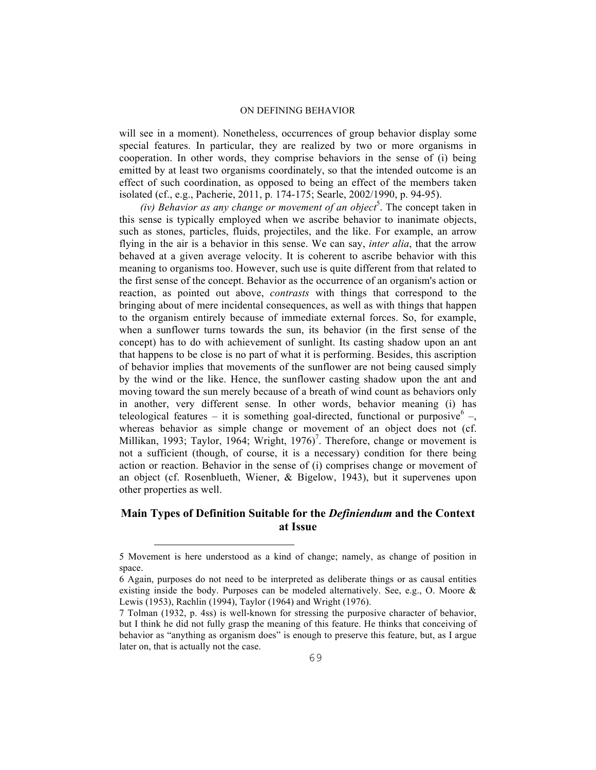will see in a moment). Nonetheless, occurrences of group behavior display some special features. In particular, they are realized by two or more organisms in cooperation. In other words, they comprise behaviors in the sense of (i) being emitted by at least two organisms coordinately, so that the intended outcome is an effect of such coordination, as opposed to being an effect of the members taken isolated (cf., e.g., Pacherie, 2011, p. 174-175; Searle, 2002/1990, p. 94-95).

(iv) Behavior as any change or movement of an object<sup>5</sup>. The concept taken in this sense is typically employed when we ascribe behavior to inanimate objects, such as stones, particles, fluids, projectiles, and the like. For example, an arrow flying in the air is a behavior in this sense. We can say, *inter alia*, that the arrow behaved at a given average velocity. It is coherent to ascribe behavior with this meaning to organisms too. However, such use is quite different from that related to the first sense of the concept. Behavior as the occurrence of an organism's action or reaction, as pointed out above, *contrasts* with things that correspond to the bringing about of mere incidental consequences, as well as with things that happen to the organism entirely because of immediate external forces. So, for example, when a sunflower turns towards the sun, its behavior (in the first sense of the concept) has to do with achievement of sunlight. Its casting shadow upon an ant that happens to be close is no part of what it is performing. Besides, this ascription of behavior implies that movements of the sunflower are not being caused simply by the wind or the like. Hence, the sunflower casting shadow upon the ant and moving toward the sun merely because of a breath of wind count as behaviors only in another, very different sense. In other words, behavior meaning (i) has teleological features – it is something goal-directed, functional or purposive  $^6$  –, whereas behavior as simple change or movement of an object does not (cf. Millikan, 1993; Taylor, 1964; Wright, 1976)<sup>7</sup>. Therefore, change or movement is not a sufficient (though, of course, it is a necessary) condition for there being action or reaction. Behavior in the sense of (i) comprises change or movement of an object (cf. Rosenblueth, Wiener, & Bigelow, 1943), but it supervenes upon other properties as well.

# **Main Types of Definition Suitable for the** *Definiendum* **and the Context at Issue**

<sup>5</sup> Movement is here understood as a kind of change; namely, as change of position in space.

<sup>6</sup> Again, purposes do not need to be interpreted as deliberate things or as causal entities existing inside the body. Purposes can be modeled alternatively. See, e.g., O. Moore & Lewis (1953), Rachlin (1994), Taylor (1964) and Wright (1976).

<sup>7</sup> Tolman (1932, p. 4ss) is well-known for stressing the purposive character of behavior, but I think he did not fully grasp the meaning of this feature. He thinks that conceiving of behavior as "anything as organism does" is enough to preserve this feature, but, as I argue later on, that is actually not the case.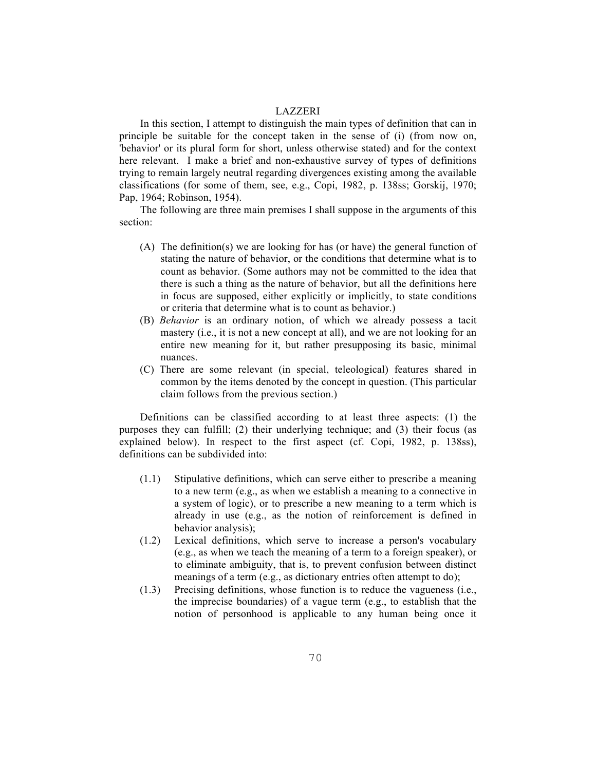In this section, I attempt to distinguish the main types of definition that can in principle be suitable for the concept taken in the sense of (i) (from now on, 'behavior' or its plural form for short, unless otherwise stated) and for the context here relevant. I make a brief and non-exhaustive survey of types of definitions trying to remain largely neutral regarding divergences existing among the available classifications (for some of them, see, e.g., Copi, 1982, p. 138ss; Gorskij, 1970; Pap, 1964; Robinson, 1954).

The following are three main premises I shall suppose in the arguments of this section:

- (A) The definition(s) we are looking for has (or have) the general function of stating the nature of behavior, or the conditions that determine what is to count as behavior. (Some authors may not be committed to the idea that there is such a thing as the nature of behavior, but all the definitions here in focus are supposed, either explicitly or implicitly, to state conditions or criteria that determine what is to count as behavior.)
- (B) *Behavior* is an ordinary notion, of which we already possess a tacit mastery (i.e., it is not a new concept at all), and we are not looking for an entire new meaning for it, but rather presupposing its basic, minimal nuances.
- (C) There are some relevant (in special, teleological) features shared in common by the items denoted by the concept in question. (This particular claim follows from the previous section.)

Definitions can be classified according to at least three aspects: (1) the purposes they can fulfill; (2) their underlying technique; and (3) their focus (as explained below). In respect to the first aspect (cf. Copi, 1982, p. 138ss), definitions can be subdivided into:

- (1.1) Stipulative definitions, which can serve either to prescribe a meaning to a new term (e.g., as when we establish a meaning to a connective in a system of logic), or to prescribe a new meaning to a term which is already in use (e.g., as the notion of reinforcement is defined in behavior analysis);
- (1.2) Lexical definitions, which serve to increase a person's vocabulary (e.g., as when we teach the meaning of a term to a foreign speaker), or to eliminate ambiguity, that is, to prevent confusion between distinct meanings of a term (e.g., as dictionary entries often attempt to do);
- (1.3) Precising definitions, whose function is to reduce the vagueness (i.e., the imprecise boundaries) of a vague term (e.g., to establish that the notion of personhood is applicable to any human being once it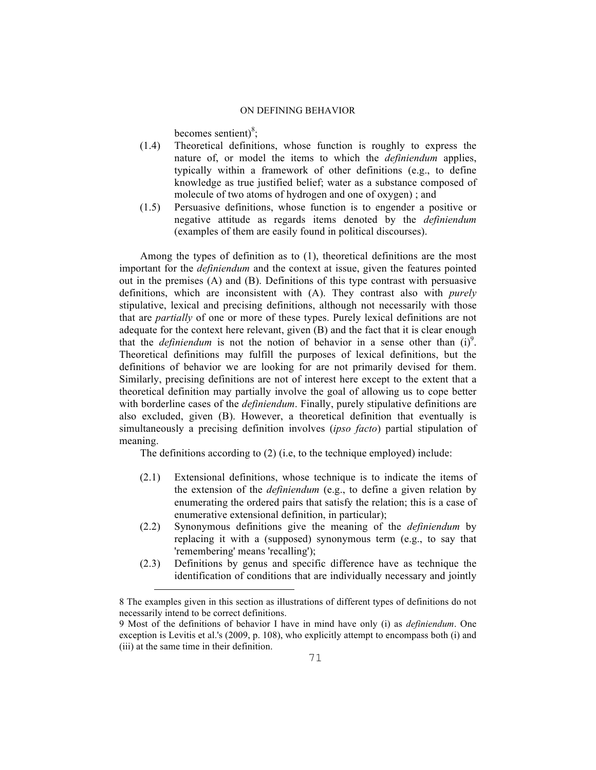becomes sentient) $^{8}$ ;

- (1.4) Theoretical definitions, whose function is roughly to express the nature of, or model the items to which the *definiendum* applies, typically within a framework of other definitions (e.g., to define knowledge as true justified belief; water as a substance composed of molecule of two atoms of hydrogen and one of oxygen) ; and
- (1.5) Persuasive definitions, whose function is to engender a positive or negative attitude as regards items denoted by the *definiendum*  (examples of them are easily found in political discourses).

Among the types of definition as to (1), theoretical definitions are the most important for the *definiendum* and the context at issue, given the features pointed out in the premises (A) and (B). Definitions of this type contrast with persuasive definitions, which are inconsistent with (A). They contrast also with *purely* stipulative, lexical and precising definitions, although not necessarily with those that are *partially* of one or more of these types. Purely lexical definitions are not adequate for the context here relevant, given (B) and the fact that it is clear enough that the *definiendum* is not the notion of behavior in a sense other than  $(i)^9$ . Theoretical definitions may fulfill the purposes of lexical definitions, but the definitions of behavior we are looking for are not primarily devised for them. Similarly, precising definitions are not of interest here except to the extent that a theoretical definition may partially involve the goal of allowing us to cope better with borderline cases of the *definiendum*. Finally, purely stipulative definitions are also excluded, given (B). However, a theoretical definition that eventually is simultaneously a precising definition involves (*ipso facto*) partial stipulation of meaning.

The definitions according to (2) (i.e, to the technique employed) include:

- (2.1) Extensional definitions, whose technique is to indicate the items of the extension of the *definiendum* (e.g., to define a given relation by enumerating the ordered pairs that satisfy the relation; this is a case of enumerative extensional definition, in particular);
- (2.2) Synonymous definitions give the meaning of the *definiendum* by replacing it with a (supposed) synonymous term (e.g., to say that 'remembering' means 'recalling');
- (2.3) Definitions by genus and specific difference have as technique the identification of conditions that are individually necessary and jointly

 $\overline{\phantom{0}}$ 

<sup>8</sup> The examples given in this section as illustrations of different types of definitions do not necessarily intend to be correct definitions.

<sup>9</sup> Most of the definitions of behavior I have in mind have only (i) as *definiendum*. One exception is Levitis et al.'s (2009, p. 108), who explicitly attempt to encompass both (i) and (iii) at the same time in their definition.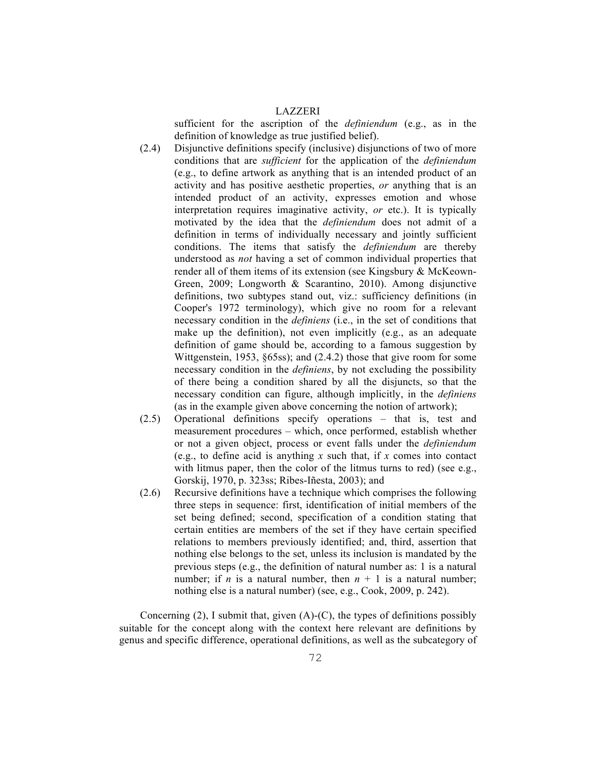sufficient for the ascription of the *definiendum* (e.g., as in the definition of knowledge as true justified belief).

- (2.4) Disjunctive definitions specify (inclusive) disjunctions of two of more conditions that are *sufficient* for the application of the *definiendum* (e.g., to define artwork as anything that is an intended product of an activity and has positive aesthetic properties, *or* anything that is an intended product of an activity, expresses emotion and whose interpretation requires imaginative activity, *or* etc.). It is typically motivated by the idea that the *definiendum* does not admit of a definition in terms of individually necessary and jointly sufficient conditions. The items that satisfy the *definiendum* are thereby understood as *not* having a set of common individual properties that render all of them items of its extension (see Kingsbury & McKeown-Green, 2009; Longworth & Scarantino, 2010). Among disjunctive definitions, two subtypes stand out, viz.: sufficiency definitions (in Cooper's 1972 terminology), which give no room for a relevant necessary condition in the *definiens* (i.e., in the set of conditions that make up the definition), not even implicitly (e.g., as an adequate definition of game should be, according to a famous suggestion by Wittgenstein, 1953, §65ss); and (2.4.2) those that give room for some necessary condition in the *definiens*, by not excluding the possibility of there being a condition shared by all the disjuncts, so that the necessary condition can figure, although implicitly, in the *definiens*  (as in the example given above concerning the notion of artwork);
- (2.5) Operational definitions specify operations that is, test and measurement procedures – which, once performed, establish whether or not a given object, process or event falls under the *definiendum* (e.g., to define acid is anything *x* such that, if *x* comes into contact with litmus paper, then the color of the litmus turns to red) (see e.g., Gorskij, 1970, p. 323ss; Ribes-Iñesta, 2003); and
- (2.6) Recursive definitions have a technique which comprises the following three steps in sequence: first, identification of initial members of the set being defined; second, specification of a condition stating that certain entities are members of the set if they have certain specified relations to members previously identified; and, third, assertion that nothing else belongs to the set, unless its inclusion is mandated by the previous steps (e.g., the definition of natural number as: 1 is a natural number; if *n* is a natural number, then  $n + 1$  is a natural number; nothing else is a natural number) (see, e.g., Cook, 2009, p. 242).

Concerning  $(2)$ , I submit that, given  $(A)$ - $(C)$ , the types of definitions possibly suitable for the concept along with the context here relevant are definitions by genus and specific difference, operational definitions, as well as the subcategory of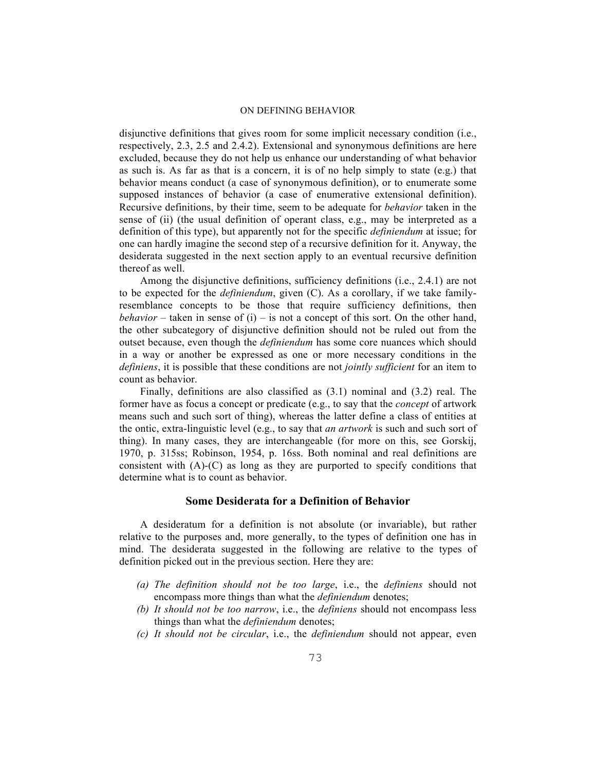disjunctive definitions that gives room for some implicit necessary condition (i.e., respectively, 2.3, 2.5 and 2.4.2). Extensional and synonymous definitions are here excluded, because they do not help us enhance our understanding of what behavior as such is. As far as that is a concern, it is of no help simply to state (e.g.) that behavior means conduct (a case of synonymous definition), or to enumerate some supposed instances of behavior (a case of enumerative extensional definition). Recursive definitions, by their time, seem to be adequate for *behavior* taken in the sense of (ii) (the usual definition of operant class, e.g., may be interpreted as a definition of this type), but apparently not for the specific *definiendum* at issue; for one can hardly imagine the second step of a recursive definition for it. Anyway, the desiderata suggested in the next section apply to an eventual recursive definition thereof as well.

Among the disjunctive definitions, sufficiency definitions (i.e., 2.4.1) are not to be expected for the *definiendum*, given (C). As a corollary, if we take familyresemblance concepts to be those that require sufficiency definitions, then *behavior* – taken in sense of (i) – is not a concept of this sort. On the other hand, the other subcategory of disjunctive definition should not be ruled out from the outset because, even though the *definiendum* has some core nuances which should in a way or another be expressed as one or more necessary conditions in the *definiens*, it is possible that these conditions are not *jointly sufficient* for an item to count as behavior.

Finally, definitions are also classified as (3.1) nominal and (3.2) real. The former have as focus a concept or predicate (e.g., to say that the *concept* of artwork means such and such sort of thing), whereas the latter define a class of entities at the ontic, extra-linguistic level (e.g., to say that *an artwork* is such and such sort of thing). In many cases, they are interchangeable (for more on this, see Gorskij, 1970, p. 315ss; Robinson, 1954, p. 16ss. Both nominal and real definitions are consistent with (A)-(C) as long as they are purported to specify conditions that determine what is to count as behavior.

### **Some Desiderata for a Definition of Behavior**

A desideratum for a definition is not absolute (or invariable), but rather relative to the purposes and, more generally, to the types of definition one has in mind. The desiderata suggested in the following are relative to the types of definition picked out in the previous section. Here they are:

- *(a) The definition should not be too large*, i.e., the *definiens* should not encompass more things than what the *definiendum* denotes;
- *(b) It should not be too narrow*, i.e., the *definiens* should not encompass less things than what the *definiendum* denotes;
- *(c) It should not be circular*, i.e., the *definiendum* should not appear, even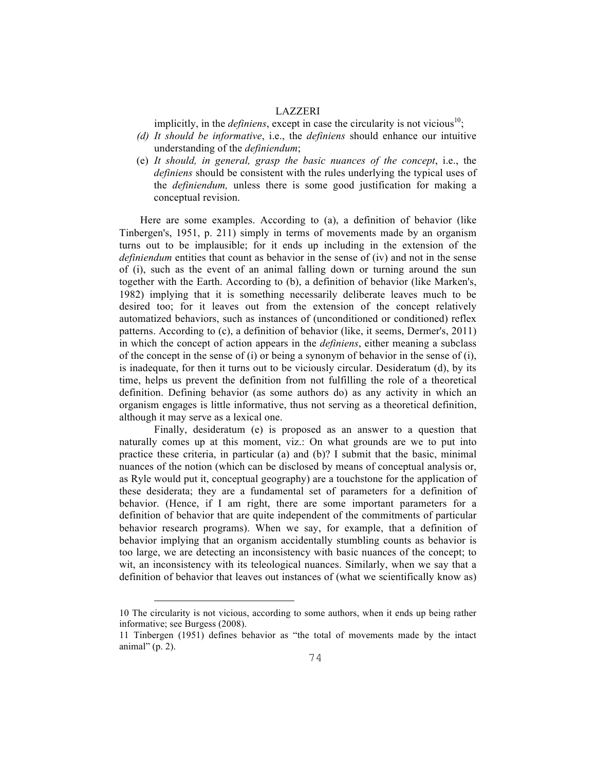implicitly, in the *definiens*, except in case the circularity is not vicious<sup>10</sup>;

- *(d) It should be informative*, i.e., the *definiens* should enhance our intuitive understanding of the *definiendum*;
- (e) *It should, in general, grasp the basic nuances of the concept*, i.e., the *definiens* should be consistent with the rules underlying the typical uses of the *definiendum,* unless there is some good justification for making a conceptual revision.

Here are some examples. According to (a), a definition of behavior (like Tinbergen's, 1951, p. 211) simply in terms of movements made by an organism turns out to be implausible; for it ends up including in the extension of the *definiendum* entities that count as behavior in the sense of (iv) and not in the sense of (i), such as the event of an animal falling down or turning around the sun together with the Earth. According to (b), a definition of behavior (like Marken's, 1982) implying that it is something necessarily deliberate leaves much to be desired too; for it leaves out from the extension of the concept relatively automatized behaviors, such as instances of (unconditioned or conditioned) reflex patterns. According to (c), a definition of behavior (like, it seems, Dermer's, 2011) in which the concept of action appears in the *definiens*, either meaning a subclass of the concept in the sense of (i) or being a synonym of behavior in the sense of (i), is inadequate, for then it turns out to be viciously circular. Desideratum (d), by its time, helps us prevent the definition from not fulfilling the role of a theoretical definition. Defining behavior (as some authors do) as any activity in which an organism engages is little informative, thus not serving as a theoretical definition, although it may serve as a lexical one.

Finally, desideratum (e) is proposed as an answer to a question that naturally comes up at this moment, viz.: On what grounds are we to put into practice these criteria, in particular (a) and (b)? I submit that the basic, minimal nuances of the notion (which can be disclosed by means of conceptual analysis or, as Ryle would put it, conceptual geography) are a touchstone for the application of these desiderata; they are a fundamental set of parameters for a definition of behavior. (Hence, if I am right, there are some important parameters for a definition of behavior that are quite independent of the commitments of particular behavior research programs). When we say, for example, that a definition of behavior implying that an organism accidentally stumbling counts as behavior is too large, we are detecting an inconsistency with basic nuances of the concept; to wit, an inconsistency with its teleological nuances. Similarly, when we say that a definition of behavior that leaves out instances of (what we scientifically know as)

<sup>10</sup> The circularity is not vicious, according to some authors, when it ends up being rather informative; see Burgess (2008).

<sup>11</sup> Tinbergen (1951) defines behavior as "the total of movements made by the intact animal" (p. 2).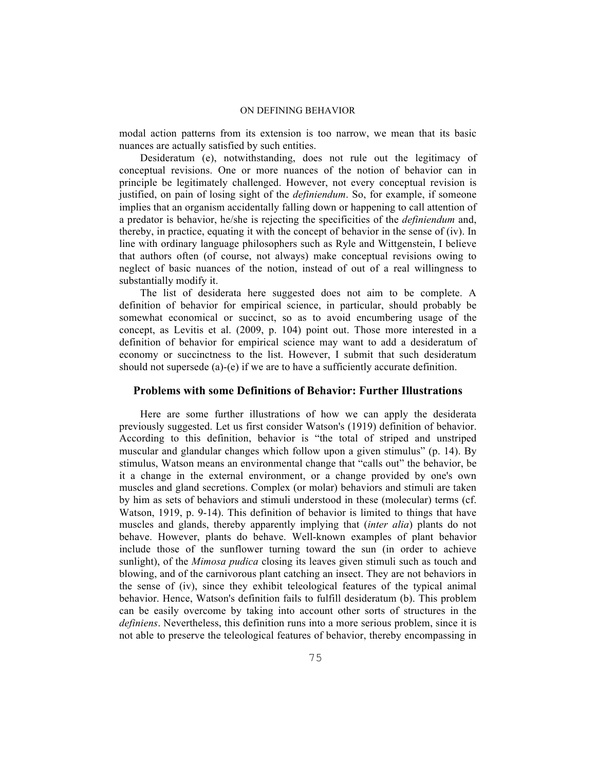modal action patterns from its extension is too narrow, we mean that its basic nuances are actually satisfied by such entities.

Desideratum (e), notwithstanding, does not rule out the legitimacy of conceptual revisions. One or more nuances of the notion of behavior can in principle be legitimately challenged. However, not every conceptual revision is justified, on pain of losing sight of the *definiendum*. So, for example, if someone implies that an organism accidentally falling down or happening to call attention of a predator is behavior, he/she is rejecting the specificities of the *definiendum* and, thereby, in practice, equating it with the concept of behavior in the sense of (iv). In line with ordinary language philosophers such as Ryle and Wittgenstein, I believe that authors often (of course, not always) make conceptual revisions owing to neglect of basic nuances of the notion, instead of out of a real willingness to substantially modify it.

The list of desiderata here suggested does not aim to be complete. A definition of behavior for empirical science, in particular, should probably be somewhat economical or succinct, so as to avoid encumbering usage of the concept, as Levitis et al. (2009, p. 104) point out. Those more interested in a definition of behavior for empirical science may want to add a desideratum of economy or succinctness to the list. However, I submit that such desideratum should not supersede (a)-(e) if we are to have a sufficiently accurate definition.

### **Problems with some Definitions of Behavior: Further Illustrations**

Here are some further illustrations of how we can apply the desiderata previously suggested. Let us first consider Watson's (1919) definition of behavior. According to this definition, behavior is "the total of striped and unstriped muscular and glandular changes which follow upon a given stimulus" (p. 14). By stimulus, Watson means an environmental change that "calls out" the behavior, be it a change in the external environment, or a change provided by one's own muscles and gland secretions. Complex (or molar) behaviors and stimuli are taken by him as sets of behaviors and stimuli understood in these (molecular) terms (cf. Watson, 1919, p. 9-14). This definition of behavior is limited to things that have muscles and glands, thereby apparently implying that (*inter alia*) plants do not behave. However, plants do behave. Well-known examples of plant behavior include those of the sunflower turning toward the sun (in order to achieve sunlight), of the *Mimosa pudica* closing its leaves given stimuli such as touch and blowing, and of the carnivorous plant catching an insect. They are not behaviors in the sense of (iv), since they exhibit teleological features of the typical animal behavior. Hence, Watson's definition fails to fulfill desideratum (b). This problem can be easily overcome by taking into account other sorts of structures in the *definiens*. Nevertheless, this definition runs into a more serious problem, since it is not able to preserve the teleological features of behavior, thereby encompassing in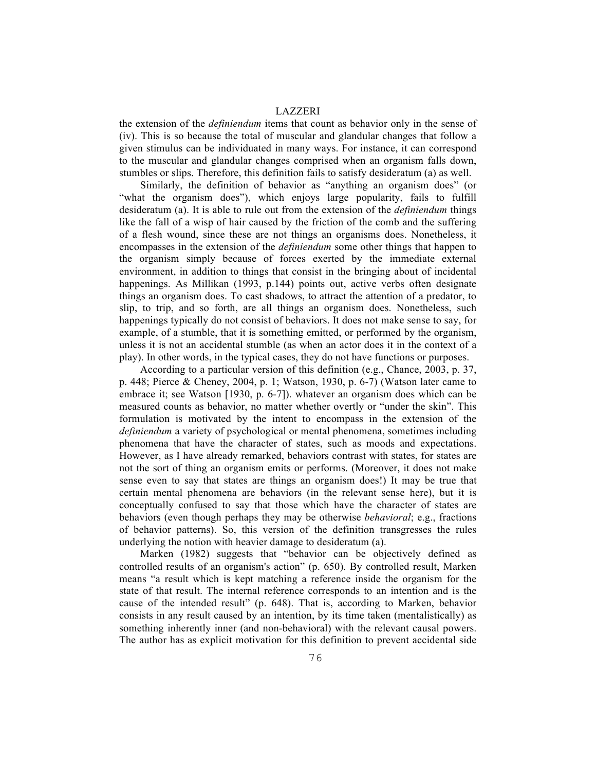the extension of the *definiendum* items that count as behavior only in the sense of (iv). This is so because the total of muscular and glandular changes that follow a given stimulus can be individuated in many ways. For instance, it can correspond to the muscular and glandular changes comprised when an organism falls down, stumbles or slips. Therefore, this definition fails to satisfy desideratum (a) as well.

Similarly, the definition of behavior as "anything an organism does" (or "what the organism does"), which enjoys large popularity, fails to fulfill desideratum (a). It is able to rule out from the extension of the *definiendum* things like the fall of a wisp of hair caused by the friction of the comb and the suffering of a flesh wound, since these are not things an organisms does. Nonetheless, it encompasses in the extension of the *definiendum* some other things that happen to the organism simply because of forces exerted by the immediate external environment, in addition to things that consist in the bringing about of incidental happenings. As Millikan (1993, p.144) points out, active verbs often designate things an organism does. To cast shadows, to attract the attention of a predator, to slip, to trip, and so forth, are all things an organism does. Nonetheless, such happenings typically do not consist of behaviors. It does not make sense to say, for example, of a stumble, that it is something emitted, or performed by the organism, unless it is not an accidental stumble (as when an actor does it in the context of a play). In other words, in the typical cases, they do not have functions or purposes.

According to a particular version of this definition (e.g., Chance, 2003, p. 37, p. 448; Pierce & Cheney, 2004, p. 1; Watson, 1930, p. 6-7) (Watson later came to embrace it; see Watson [1930, p. 6-7]). whatever an organism does which can be measured counts as behavior, no matter whether overtly or "under the skin". This formulation is motivated by the intent to encompass in the extension of the *definiendum* a variety of psychological or mental phenomena, sometimes including phenomena that have the character of states, such as moods and expectations. However, as I have already remarked, behaviors contrast with states, for states are not the sort of thing an organism emits or performs. (Moreover, it does not make sense even to say that states are things an organism does!) It may be true that certain mental phenomena are behaviors (in the relevant sense here), but it is conceptually confused to say that those which have the character of states are behaviors (even though perhaps they may be otherwise *behavioral*; e.g., fractions of behavior patterns). So, this version of the definition transgresses the rules underlying the notion with heavier damage to desideratum (a).

Marken (1982) suggests that "behavior can be objectively defined as controlled results of an organism's action" (p. 650). By controlled result, Marken means "a result which is kept matching a reference inside the organism for the state of that result. The internal reference corresponds to an intention and is the cause of the intended result" (p. 648). That is, according to Marken, behavior consists in any result caused by an intention, by its time taken (mentalistically) as something inherently inner (and non-behavioral) with the relevant causal powers. The author has as explicit motivation for this definition to prevent accidental side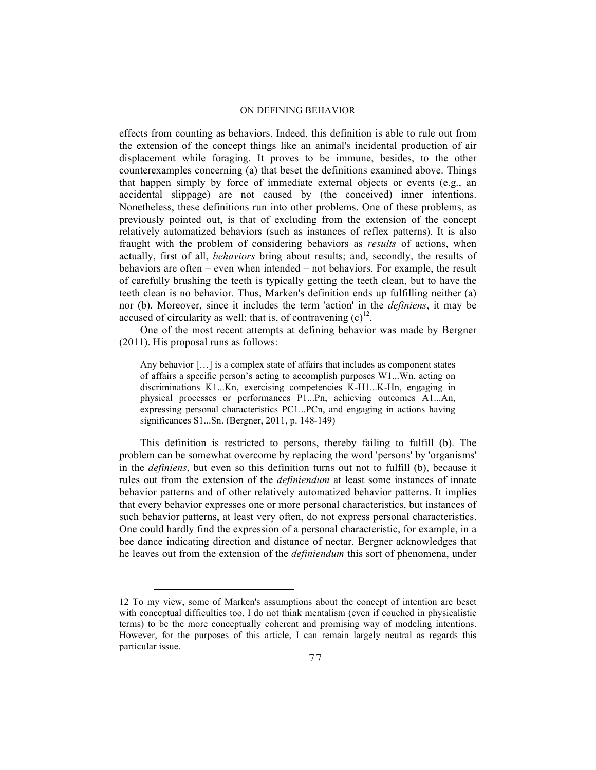effects from counting as behaviors. Indeed, this definition is able to rule out from the extension of the concept things like an animal's incidental production of air displacement while foraging. It proves to be immune, besides, to the other counterexamples concerning (a) that beset the definitions examined above. Things that happen simply by force of immediate external objects or events (e.g., an accidental slippage) are not caused by (the conceived) inner intentions. Nonetheless, these definitions run into other problems. One of these problems, as previously pointed out, is that of excluding from the extension of the concept relatively automatized behaviors (such as instances of reflex patterns). It is also fraught with the problem of considering behaviors as *results* of actions, when actually, first of all, *behaviors* bring about results; and, secondly, the results of behaviors are often – even when intended – not behaviors. For example, the result of carefully brushing the teeth is typically getting the teeth clean, but to have the teeth clean is no behavior. Thus, Marken's definition ends up fulfilling neither (a) nor (b). Moreover, since it includes the term 'action' in the *definiens*, it may be accused of circularity as well; that is, of contravening  $(c)^{12}$ .

One of the most recent attempts at defining behavior was made by Bergner (2011). His proposal runs as follows:

Any behavior […] is a complex state of affairs that includes as component states of affairs a specific person's acting to accomplish purposes W1...Wn, acting on discriminations K1...Kn, exercising competencies K-H1...K-Hn, engaging in physical processes or performances P1...Pn, achieving outcomes A1...An, expressing personal characteristics PC1...PCn, and engaging in actions having significances S1...Sn. (Bergner, 2011, p. 148-149)

This definition is restricted to persons, thereby failing to fulfill (b). The problem can be somewhat overcome by replacing the word 'persons' by 'organisms' in the *definiens*, but even so this definition turns out not to fulfill (b), because it rules out from the extension of the *definiendum* at least some instances of innate behavior patterns and of other relatively automatized behavior patterns. It implies that every behavior expresses one or more personal characteristics, but instances of such behavior patterns, at least very often, do not express personal characteristics. One could hardly find the expression of a personal characteristic, for example, in a bee dance indicating direction and distance of nectar. Bergner acknowledges that he leaves out from the extension of the *definiendum* this sort of phenomena, under

 $\overline{\phantom{0}}$ 

<sup>12</sup> To my view, some of Marken's assumptions about the concept of intention are beset with conceptual difficulties too. I do not think mentalism (even if couched in physicalistic terms) to be the more conceptually coherent and promising way of modeling intentions. However, for the purposes of this article, I can remain largely neutral as regards this particular issue.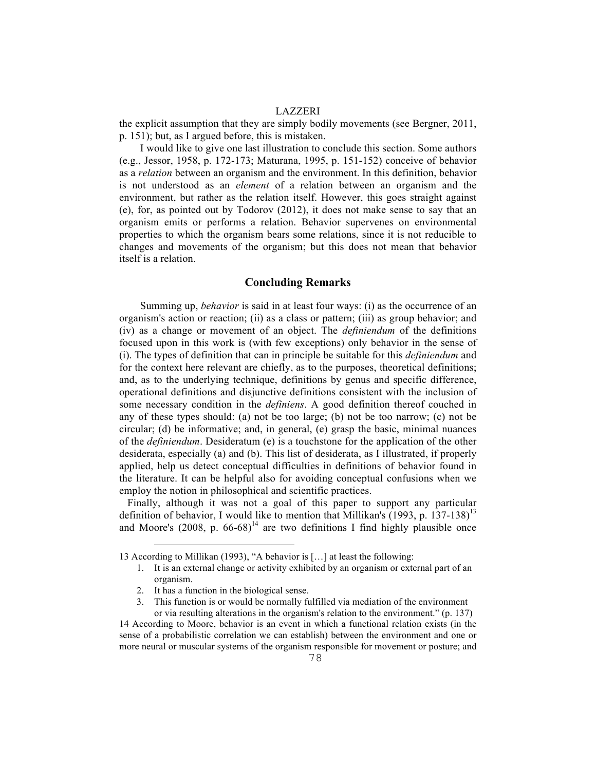the explicit assumption that they are simply bodily movements (see Bergner, 2011, p. 151); but, as I argued before, this is mistaken.

I would like to give one last illustration to conclude this section. Some authors (e.g., Jessor, 1958, p. 172-173; Maturana, 1995, p. 151-152) conceive of behavior as a *relation* between an organism and the environment. In this definition, behavior is not understood as an *element* of a relation between an organism and the environment, but rather as the relation itself. However, this goes straight against (e), for, as pointed out by Todorov (2012), it does not make sense to say that an organism emits or performs a relation. Behavior supervenes on environmental properties to which the organism bears some relations, since it is not reducible to changes and movements of the organism; but this does not mean that behavior itself is a relation.

## **Concluding Remarks**

Summing up, *behavior* is said in at least four ways: (i) as the occurrence of an organism's action or reaction; (ii) as a class or pattern; (iii) as group behavior; and (iv) as a change or movement of an object. The *definiendum* of the definitions focused upon in this work is (with few exceptions) only behavior in the sense of (i). The types of definition that can in principle be suitable for this *definiendum* and for the context here relevant are chiefly, as to the purposes, theoretical definitions; and, as to the underlying technique, definitions by genus and specific difference, operational definitions and disjunctive definitions consistent with the inclusion of some necessary condition in the *definiens*. A good definition thereof couched in any of these types should: (a) not be too large; (b) not be too narrow; (c) not be circular; (d) be informative; and, in general, (e) grasp the basic, minimal nuances of the *definiendum*. Desideratum (e) is a touchstone for the application of the other desiderata, especially (a) and (b). This list of desiderata, as I illustrated, if properly applied, help us detect conceptual difficulties in definitions of behavior found in the literature. It can be helpful also for avoiding conceptual confusions when we employ the notion in philosophical and scientific practices.

Finally, although it was not a goal of this paper to support any particular definition of behavior, I would like to mention that Millikan's (1993, p. 137-138)<sup>13</sup> and Moore's  $(2008, p. 66-68)^{14}$  are two definitions I find highly plausible once

- 1. It is an external change or activity exhibited by an organism or external part of an organism.
- 2. It has a function in the biological sense.

 $\overline{a}$ 

3. This function is or would be normally fulfilled via mediation of the environment or via resulting alterations in the organism's relation to the environment." (p. 137)

14 According to Moore, behavior is an event in which a functional relation exists (in the sense of a probabilistic correlation we can establish) between the environment and one or more neural or muscular systems of the organism responsible for movement or posture; and

<sup>13</sup> According to Millikan (1993), "A behavior is […] at least the following: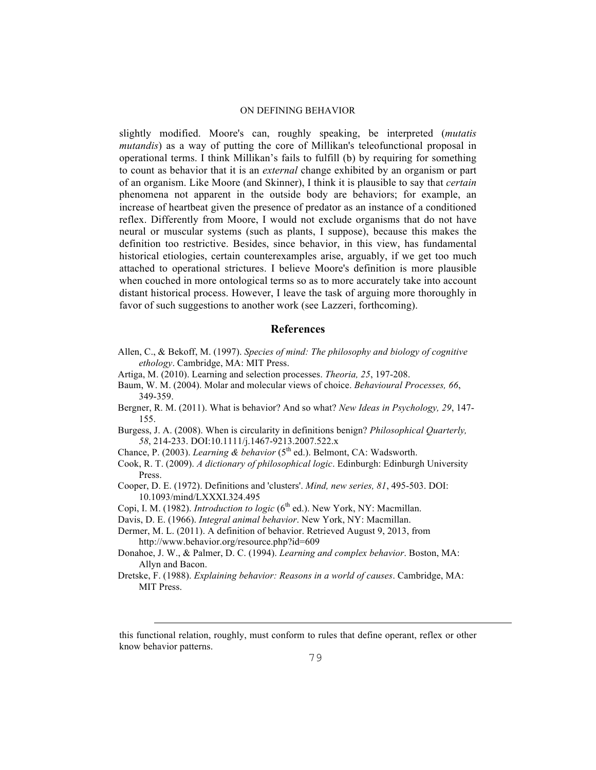slightly modified. Moore's can, roughly speaking, be interpreted (*mutatis mutandis*) as a way of putting the core of Millikan's teleofunctional proposal in operational terms. I think Millikan's fails to fulfill (b) by requiring for something to count as behavior that it is an *external* change exhibited by an organism or part of an organism. Like Moore (and Skinner), I think it is plausible to say that *certain* phenomena not apparent in the outside body are behaviors; for example, an increase of heartbeat given the presence of predator as an instance of a conditioned reflex. Differently from Moore, I would not exclude organisms that do not have neural or muscular systems (such as plants, I suppose), because this makes the definition too restrictive. Besides, since behavior, in this view, has fundamental historical etiologies, certain counterexamples arise, arguably, if we get too much attached to operational strictures. I believe Moore's definition is more plausible when couched in more ontological terms so as to more accurately take into account distant historical process. However, I leave the task of arguing more thoroughly in favor of such suggestions to another work (see Lazzeri, forthcoming).

### **References**

- Allen, C., & Bekoff, M. (1997). *Species of mind: The philosophy and biology of cognitive ethology*. Cambridge, MA: MIT Press.
- Artiga, M. (2010). Learning and selection processes. *Theoria, 25*, 197-208.
- Baum, W. M. (2004). Molar and molecular views of choice. *Behavioural Processes, 66*, 349-359.
- Bergner, R. M. (2011). What is behavior? And so what? *New Ideas in Psychology, 29*, 147- 155.
- Burgess, J. A. (2008). When is circularity in definitions benign? *Philosophical Quarterly, 58*, 214-233. DOI:10.1111/j.1467-9213.2007.522.x
- Chance, P. (2003). *Learning & behavior* (5<sup>th</sup> ed.). Belmont, CA: Wadsworth.
- Cook, R. T. (2009). *A dictionary of philosophical logic*. Edinburgh: Edinburgh University Press.
- Cooper, D. E. (1972). Definitions and 'clusters'. *Mind, new series, 81*, 495-503. DOI: 10.1093/mind/LXXXI.324.495
- Copi, I. M. (1982). *Introduction to logic* (6<sup>th</sup> ed.). New York, NY: Macmillan.
- Davis, D. E. (1966). *Integral animal behavior*. New York, NY: Macmillan.

i

Dermer, M. L. (2011). A definition of behavior. Retrieved August 9, 2013, from http://www.behavior.org/resource.php?id=609

- Donahoe, J. W., & Palmer, D. C. (1994). *Learning and complex behavior*. Boston, MA: Allyn and Bacon.
- Dretske, F. (1988). *Explaining behavior: Reasons in a world of causes*. Cambridge, MA: MIT Press.

this functional relation, roughly, must conform to rules that define operant, reflex or other know behavior patterns.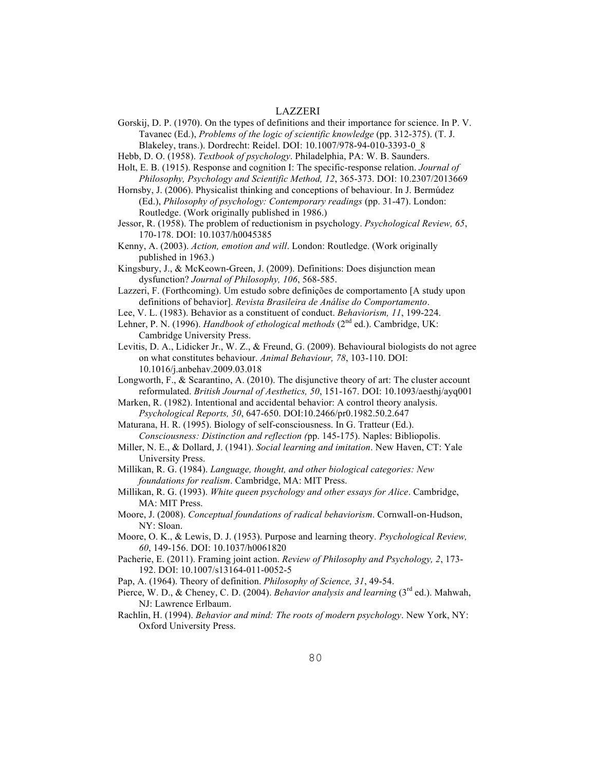Gorskij, D. P. (1970). On the types of definitions and their importance for science. In P. V. Tavanec (Ed.), *Problems of the logic of scientific knowledge* (pp. 312-375). (T. J.

Blakeley, trans.). Dordrecht: Reidel. DOI: 10.1007/978-94-010-3393-0\_8 Hebb, D. O. (1958). *Textbook of psychology*. Philadelphia, PA: W. B. Saunders.

Holt, E. B. (1915). Response and cognition I: The specific-response relation. *Journal of Philosophy, Psychology and Scientific Method, 12*, 365-373. DOI: 10.2307/2013669

Hornsby, J. (2006). Physicalist thinking and conceptions of behaviour. In J. Bermúdez (Ed.), *Philosophy of psychology: Contemporary readings* (pp. 31-47). London: Routledge. (Work originally published in 1986.)

Jessor, R. (1958). The problem of reductionism in psychology. *Psychological Review, 65*, 170-178. DOI: 10.1037/h0045385

Kenny, A. (2003). *Action, emotion and will*. London: Routledge. (Work originally published in 1963.)

Kingsbury, J., & McKeown-Green, J. (2009). Definitions: Does disjunction mean dysfunction? *Journal of Philosophy, 106*, 568-585.

Lazzeri, F. (Forthcoming). Um estudo sobre definições de comportamento [A study upon definitions of behavior]. *Revista Brasileira de Análise do Comportamento*.

Lee, V. L. (1983). Behavior as a constituent of conduct. *Behaviorism, 11*, 199-224.

Lehner, P. N. (1996). *Handbook of ethological methods* (2<sup>nd</sup> ed.). Cambridge, UK: Cambridge University Press.

Levitis, D. A., Lidicker Jr., W. Z., & Freund, G. (2009). Behavioural biologists do not agree on what constitutes behaviour. *Animal Behaviour, 78*, 103-110. DOI: 10.1016/j.anbehav.2009.03.018

Longworth, F., & Scarantino, A. (2010). The disjunctive theory of art: The cluster account reformulated. *British Journal of Aesthetics, 50*, 151-167. DOI: 10.1093/aesthj/ayq001

Marken, R. (1982). Intentional and accidental behavior: A control theory analysis. *Psychological Reports, 50*, 647-650. DOI:10.2466/pr0.1982.50.2.647

Maturana, H. R. (1995). Biology of self-consciousness. In G. Tratteur (Ed.). *Consciousness: Distinction and reflection (*pp. 145-175). Naples: Bibliopolis.

Miller, N. E., & Dollard, J. (1941). *Social learning and imitation*. New Haven, CT: Yale University Press.

Millikan, R. G. (1984). *Language, thought, and other biological categories: New foundations for realism*. Cambridge, MA: MIT Press.

Millikan, R. G. (1993). *White queen psychology and other essays for Alice*. Cambridge, MA: MIT Press.

Moore, J. (2008). *Conceptual foundations of radical behaviorism*. Cornwall-on-Hudson, NY: Sloan.

Moore, O. K., & Lewis, D. J. (1953). Purpose and learning theory. *Psychological Review, 60*, 149-156. DOI: 10.1037/h0061820

Pacherie, E. (2011). Framing joint action. *Review of Philosophy and Psychology, 2*, 173- 192. DOI: 10.1007/s13164-011-0052-5

Pap, A. (1964). Theory of definition. *Philosophy of Science, 31*, 49-54.

Pierce, W. D., & Cheney, C. D. (2004). *Behavior analysis and learning* (3<sup>rd</sup> ed.). Mahwah, NJ: Lawrence Erlbaum.

Rachlin, H. (1994). *Behavior and mind: The roots of modern psychology*. New York, NY: Oxford University Press.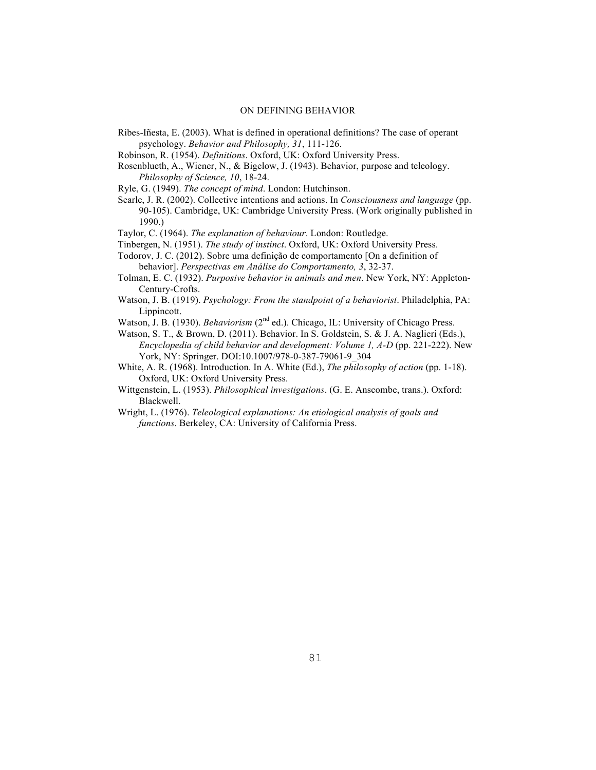Ribes-Iñesta, E. (2003). What is defined in operational definitions? The case of operant psychology. *Behavior and Philosophy, 31*, 111-126.

Robinson, R. (1954). *Definitions*. Oxford, UK: Oxford University Press.

Rosenblueth, A., Wiener, N., & Bigelow, J. (1943). Behavior, purpose and teleology. *Philosophy of Science, 10*, 18-24.

Ryle, G. (1949). *The concept of mind*. London: Hutchinson.

- Searle, J. R. (2002). Collective intentions and actions. In *Consciousness and language* (pp. 90-105). Cambridge, UK: Cambridge University Press. (Work originally published in 1990.)
- Taylor, C. (1964). *The explanation of behaviour*. London: Routledge.
- Tinbergen, N. (1951). *The study of instinct*. Oxford, UK: Oxford University Press.
- Todorov, J. C. (2012). Sobre uma definição de comportamento [On a definition of behavior]. *Perspectivas em Análise do Comportamento, 3*, 32-37.
- Tolman, E. C. (1932). *Purposive behavior in animals and men*. New York, NY: Appleton-Century-Crofts.
- Watson, J. B. (1919). *Psychology: From the standpoint of a behaviorist*. Philadelphia, PA: Lippincott.
- Watson, J. B. (1930). *Behaviorism* (2<sup>nd</sup> ed.). Chicago, IL: University of Chicago Press.
- Watson, S. T., & Brown, D. (2011). Behavior. In S. Goldstein, S. & J. A. Naglieri (Eds.), *Encyclopedia of child behavior and development: Volume 1, A-D* (pp. 221-222). New York, NY: Springer. DOI:10.1007/978-0-387-79061-9\_304
- White, A. R. (1968). Introduction. In A. White (Ed.), *The philosophy of action* (pp. 1-18). Oxford, UK: Oxford University Press.
- Wittgenstein, L. (1953). *Philosophical investigations*. (G. E. Anscombe, trans.). Oxford: Blackwell.
- Wright, L. (1976). *Teleological explanations: An etiological analysis of goals and functions*. Berkeley, CA: University of California Press.